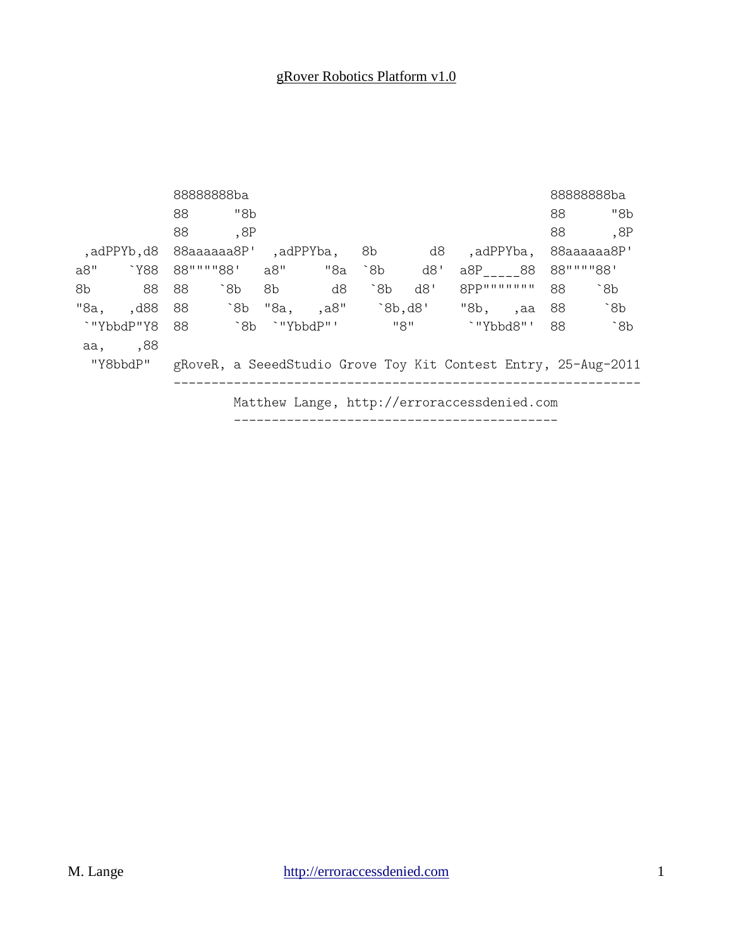|                                                                            |          |    | 8888888ba     |      |     |     |       |             |           |    | 8888888ba    |
|----------------------------------------------------------------------------|----------|----|---------------|------|-----|-----|-------|-------------|-----------|----|--------------|
|                                                                            |          | 88 | "8b           |      |     |     |       |             |           | 88 | "8b          |
|                                                                            |          | 88 | ,8P           |      |     |     |       |             |           | 88 | ,8P          |
| ,adPPYb,d8 88aaaaaa8P' ,adPPYba,                                           |          |    |               |      |     |     | 8b d8 |             | ,adPPYba, |    | 88aaaaaa8P'  |
| a8"                                                                        | `Y88     |    | 88""""88' a8" |      | "8a | 8b  | d8'   | a8P 88      |           |    | 88""""88'    |
| 8 <sub>b</sub>                                                             | 88       | 88 | `8b           | 8b l | d8  | `8b | d8'   | 8PP"""""""" |           | 88 | $\delta$     |
|                                                                            | "8a, d88 |    |               |      |     |     |       | "8b, ,aa    |           | 88 | $\degree$ 8b |
| `"YbbdP"Y8 88                                                              |          |    | `8b `"YbbdP"' |      |     |     | "8"   | `"Ybbd8"'   |           | 88 | $\degree$ 8b |
|                                                                            | aa, ,88  |    |               |      |     |     |       |             |           |    |              |
| "Y8bbdP"<br>gRoveR, a SeeedStudio Grove Toy Kit Contest Entry, 25-Aug-2011 |          |    |               |      |     |     |       |             |           |    |              |
| Matthew Lange, http://erroraccessdenied.com                                |          |    |               |      |     |     |       |             |           |    |              |
|                                                                            |          |    |               |      |     |     |       |             |           |    |              |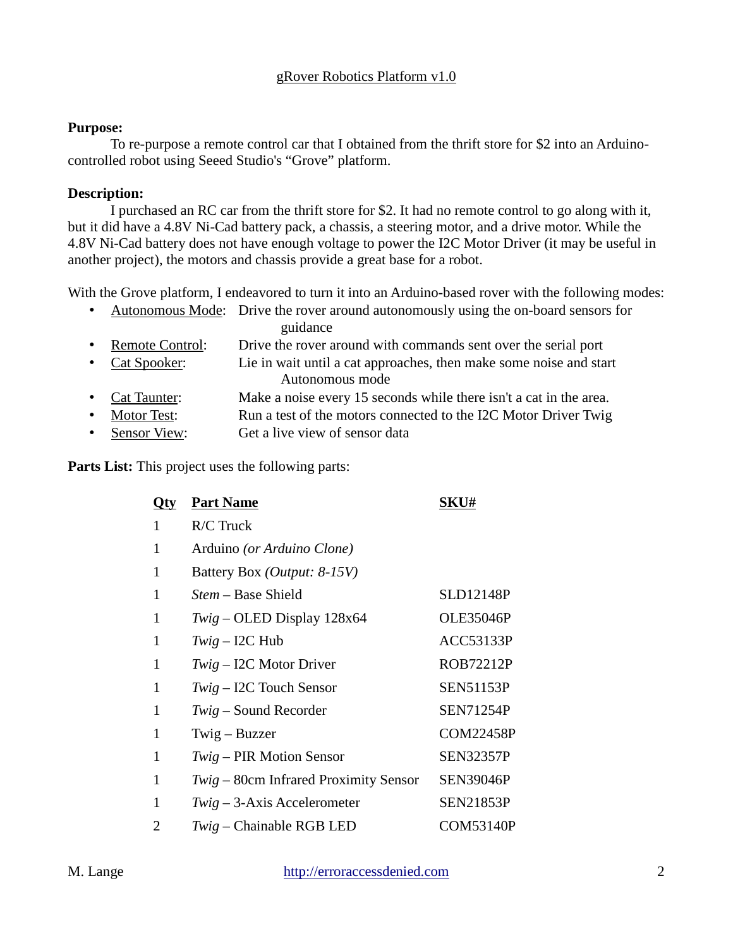#### **Purpose:**

To re-purpose a remote control car that I obtained from the thrift store for \$2 into an Arduinocontrolled robot using Seeed Studio's "Grove" platform.

#### **Description:**

I purchased an RC car from the thrift store for \$2. It had no remote control to go along with it, but it did have a 4.8V Ni-Cad battery pack, a chassis, a steering motor, and a drive motor. While the 4.8V Ni-Cad battery does not have enough voltage to power the I2C Motor Driver (it may be useful in another project), the motors and chassis provide a great base for a robot.

With the Grove platform, I endeavored to turn it into an Arduino-based rover with the following modes:

| $\bullet$ |                         | Autonomous Mode: Drive the rover around autonomously using the on-board sensors for |  |  |  |
|-----------|-------------------------|-------------------------------------------------------------------------------------|--|--|--|
|           |                         | guidance                                                                            |  |  |  |
|           | • Remote Control:       | Drive the rover around with commands sent over the serial port                      |  |  |  |
|           | • Cat Spooker:          | Lie in wait until a cat approaches, then make some noise and start                  |  |  |  |
|           |                         | Autonomous mode                                                                     |  |  |  |
|           | • Cat Taunter:          | Make a noise every 15 seconds while there isn't a cat in the area.                  |  |  |  |
| $\bullet$ | <b>Motor Test:</b>      | Run a test of the motors connected to the I2C Motor Driver Twig                     |  |  |  |
|           | $\epsilon$ Concor $U_0$ | $C_{\alpha t}$ a livro view of concordate                                           |  |  |  |

• Sensor View: Get a live view of sensor data

**Parts List:** This project uses the following parts:

| Qty          | <b>Part Name</b>                        | <b>SKU#</b>      |  |  |  |  |
|--------------|-----------------------------------------|------------------|--|--|--|--|
| 1            | R/C Truck                               |                  |  |  |  |  |
| 1            | Arduino (or Arduino Clone)              |                  |  |  |  |  |
| $\mathbf{1}$ | Battery Box (Output: 8-15V)             |                  |  |  |  |  |
| 1            | <i>Stem</i> – Base Shield               | <b>SLD12148P</b> |  |  |  |  |
| 1            | $Twig - OLED$ Display 128 $x64$         | <b>OLE35046P</b> |  |  |  |  |
| 1            | $Twig - I2C$ Hub                        | <b>ACC53133P</b> |  |  |  |  |
| 1            | $Twig - I2C$ Motor Driver               | <b>ROB72212P</b> |  |  |  |  |
| $\mathbf{1}$ | $Twig - I2C$ Touch Sensor               | <b>SEN51153P</b> |  |  |  |  |
| 1            | $Twig$ – Sound Recorder                 | <b>SEN71254P</b> |  |  |  |  |
| $\mathbf{1}$ | Twig – Buzzer                           | <b>COM22458P</b> |  |  |  |  |
| 1            | Twig - PIR Motion Sensor                | <b>SEN32357P</b> |  |  |  |  |
| 1            | $Twig - 80cm$ Infrared Proximity Sensor | <b>SEN39046P</b> |  |  |  |  |
| 1            | $Twig - 3-Axis$ Accelerometer           | <b>SEN21853P</b> |  |  |  |  |
| 2            | Twig - Chainable RGB LED                | COM53140P        |  |  |  |  |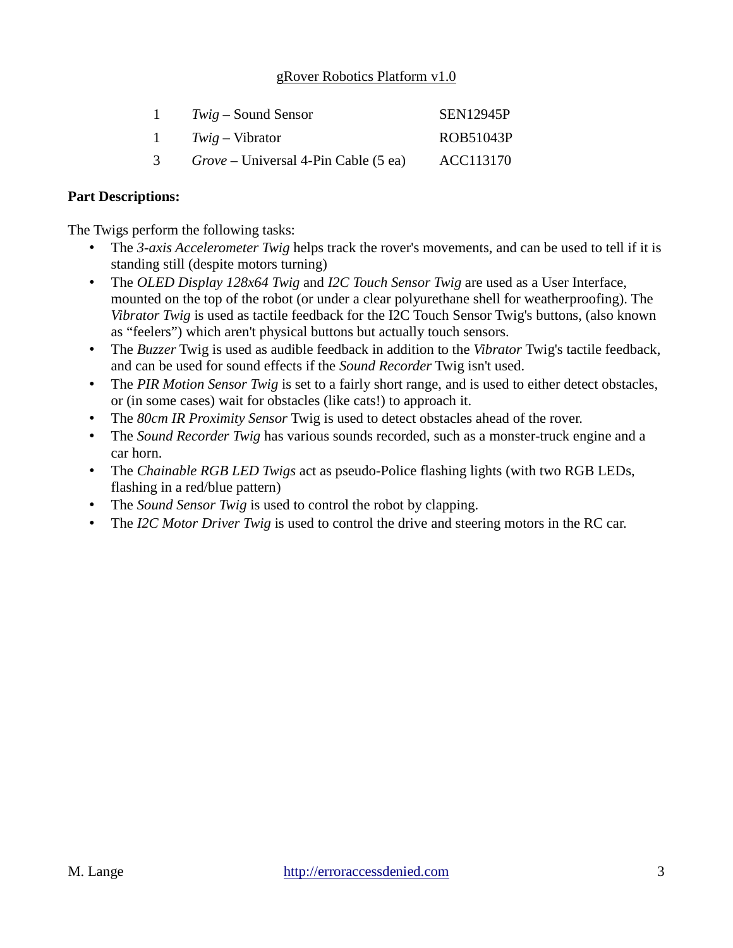|           | $Twiq$ – Sound Sensor                       | <b>SEN12945P</b> |
|-----------|---------------------------------------------|------------------|
| $1 \quad$ | $Twiq-Vibrator$                             | ROB51043P        |
| 3.        | <i>Grove</i> – Universal 4-Pin Cable (5 ea) | ACC113170        |

#### **Part Descriptions:**

The Twigs perform the following tasks:

- The *3-axis Accelerometer Twig* helps track the rover's movements, and can be used to tell if it is standing still (despite motors turning)
- The *OLED Display 128x64 Twig* and *I2C Touch Sensor Twig* are used as a User Interface, mounted on the top of the robot (or under a clear polyurethane shell for weatherproofing). The *Vibrator Twig* is used as tactile feedback for the I2C Touch Sensor Twig's buttons, (also known as "feelers") which aren't physical buttons but actually touch sensors.
- The *Buzzer* Twig is used as audible feedback in addition to the *Vibrator* Twig's tactile feedback, and can be used for sound effects if the *Sound Recorder* Twig isn't used.
- The *PIR Motion Sensor Twig* is set to a fairly short range, and is used to either detect obstacles, or (in some cases) wait for obstacles (like cats!) to approach it.
- The *80cm IR Proximity Sensor* Twig is used to detect obstacles ahead of the rover.
- The *Sound Recorder Twig* has various sounds recorded, such as a monster-truck engine and a car horn.
- The *Chainable RGB LED Twigs* act as pseudo-Police flashing lights (with two RGB LEDs, flashing in a red/blue pattern)
- The *Sound Sensor Twig* is used to control the robot by clapping.
- The *I2C Motor Driver Twig* is used to control the drive and steering motors in the RC car.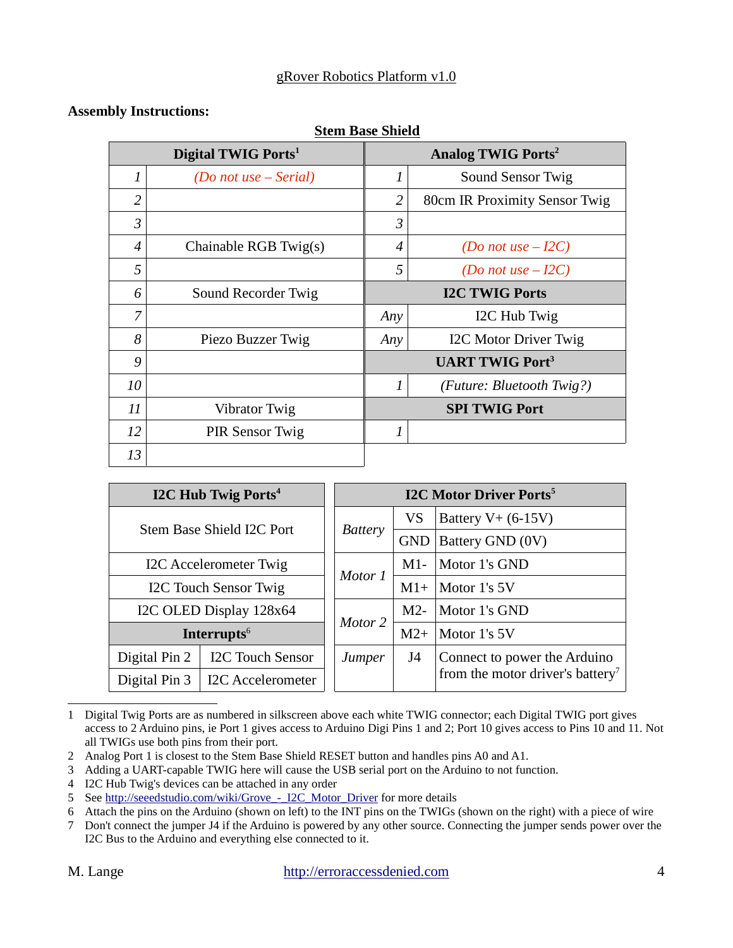**Stem Base Shield**

#### **Assembly Instructions:**

| Digital TWIG Ports <sup>1</sup> |                        |                       | <b>Analog TWIG Ports<sup>2</sup></b> |  |  |  |
|---------------------------------|------------------------|-----------------------|--------------------------------------|--|--|--|
| 1                               | (Do not use – Serial)  | $\mathbf{1}$          | Sound Sensor Twig                    |  |  |  |
| $\overline{2}$                  |                        | $\overline{2}$        | 80cm IR Proximity Sensor Twig        |  |  |  |
| 3                               |                        | 3                     |                                      |  |  |  |
| $\boldsymbol{\varLambda}$       | Chainable RGB Twig(s)  | 4                     | (Do not use $-I2C$ )                 |  |  |  |
| 5                               |                        | 5                     | (Do not use $-I2C$ )                 |  |  |  |
| 6                               | Sound Recorder Twig    | <b>I2C TWIG Ports</b> |                                      |  |  |  |
| 7                               |                        | Any                   | I2C Hub Twig                         |  |  |  |
| 8                               | Piezo Buzzer Twig      | Any                   | <b>I2C Motor Driver Twig</b>         |  |  |  |
| 9                               |                        |                       | <b>UART TWIG Port<sup>3</sup></b>    |  |  |  |
| 10                              |                        | 1                     | (Future: Bluetooth Twig?)            |  |  |  |
| 11                              | <b>Vibrator Twig</b>   | <b>SPI TWIG Port</b>  |                                      |  |  |  |
| 12                              | <b>PIR Sensor Twig</b> | 1                     |                                      |  |  |  |
| 13                              |                        |                       |                                      |  |  |  |

|                                           | <b>I2C Hub Twig Ports</b> <sup>4</sup> | <b>I2C Motor Driver Ports</b> <sup>5</sup> |                      |                                              |  |  |
|-------------------------------------------|----------------------------------------|--------------------------------------------|----------------------|----------------------------------------------|--|--|
|                                           |                                        | VS                                         | Battery $V+$ (6-15V) |                                              |  |  |
|                                           | Stem Base Shield I2C Port              | <b>Battery</b>                             | <b>GND</b>           | Battery GND (0V)                             |  |  |
|                                           | I2C Accelerometer Twig                 |                                            | $M1-$                | Motor 1's GND                                |  |  |
| I2C Touch Sensor Twig                     | Motor 1                                | $M1+$                                      | Motor 1's 5V         |                                              |  |  |
|                                           | I2C OLED Display 128x64                |                                            | $M2-$                | Motor 1's GND                                |  |  |
|                                           | Interrupts <sup>6</sup>                | Motor 2                                    | $M2+$                | Motor 1's 5V                                 |  |  |
| Digital Pin 2                             | <b>I2C Touch Sensor</b>                | Jumper                                     | J4                   | Connect to power the Arduino                 |  |  |
| <b>I2C Accelerometer</b><br>Digital Pin 3 |                                        |                                            |                      | from the motor driver's battery <sup>7</sup> |  |  |

1 Digital Twig Ports are as numbered in silkscreen above each white TWIG connector; each Digital TWIG port gives access to 2 Arduino pins, ie Port 1 gives access to Arduino Digi Pins 1 and 2; Port 10 gives access to Pins 10 and 11. Not all TWIGs use both pins from their port.

2 Analog Port 1 is closest to the Stem Base Shield RESET button and handles pins A0 and A1.

- 3 Adding a UART-capable TWIG here will cause the USB serial port on the Arduino to not function.
- 4 I2C Hub Twig's devices can be attached in any order

<sup>5</sup> See http://seeedstudio.com/wiki/Grove - I2C\_Motor\_Driver for more details

<sup>6</sup> Attach the pins on the Arduino (shown on left) to the INT pins on the TWIGs (shown on the right) with a piece of wire

<sup>7</sup> Don't connect the jumper J4 if the Arduino is powered by any other source. Connecting the jumper sends power over the I2C Bus to the Arduino and everything else connected to it.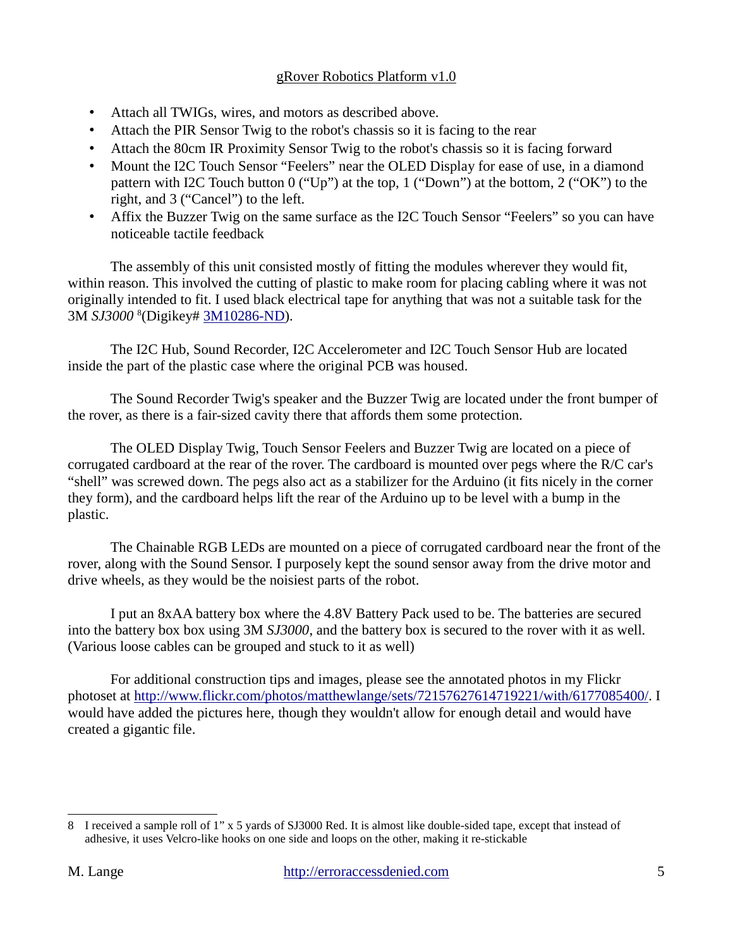- Attach all TWIGs, wires, and motors as described above.
- Attach the PIR Sensor Twig to the robot's chassis so it is facing to the rear
- Attach the 80cm IR Proximity Sensor Twig to the robot's chassis so it is facing forward
- Mount the I2C Touch Sensor "Feelers" near the OLED Display for ease of use, in a diamond pattern with I2C Touch button  $0$  ("Up") at the top, 1 ("Down") at the bottom, 2 ("OK") to the right, and  $3$  ("Cancel") to the left.
- Affix the Buzzer Twig on the same surface as the I2C Touch Sensor "Feelers" so you can have noticeable tactile feedback

The assembly of this unit consisted mostly of fitting the modules wherever they would fit, within reason. This involved the cutting of plastic to make room for placing cabling where it was not originally intended to fit. I used black electrical tape for anything that was not a suitable task for the 3M *SJ3000* <sup>8</sup> (Digikey# 3M10286-ND).

The I2C Hub, Sound Recorder, I2C Accelerometer and I2C Touch Sensor Hub are located inside the part of the plastic case where the original PCB was housed.

The Sound Recorder Twig's speaker and the Buzzer Twig are located under the front bumper of the rover, as there is a fair-sized cavity there that affords them some protection.

The OLED Display Twig, Touch Sensor Feelers and Buzzer Twig are located on a piece of corrugated cardboard at the rear of the rover. The cardboard is mounted over pegs where the R/C car's "shell" was screwed down. The pegs also act as a stabilizer for the Arduino (it fits nicely in the corner they form), and the cardboard helps lift the rear of the Arduino up to be level with a bump in the plastic.

The Chainable RGB LEDs are mounted on a piece of corrugated cardboard near the front of the rover, along with the Sound Sensor. I purposely kept the sound sensor away from the drive motor and drive wheels, as they would be the noisiest parts of the robot.

I put an 8xAA battery box where the 4.8V Battery Pack used to be. The batteries are secured into the battery box box using 3M *SJ3000*, and the battery box is secured to the rover with it as well. (Various loose cables can be grouped and stuck to it as well)

For additional construction tips and images, please see the annotated photos in my Flickr photoset at http://www.flickr.com/photos/matthewlange/sets/72157627614719221/with/6177085400/. I would have added the pictures here, though they wouldn't allow for enough detail and would have created a gigantic file.

<sup>8</sup> I received a sample roll of 1" x 5 yards of SJ3000 Red. It is almost like double-sided tape, except that instead of adhesive, it uses Velcro-like hooks on one side and loops on the other, making it re-stickable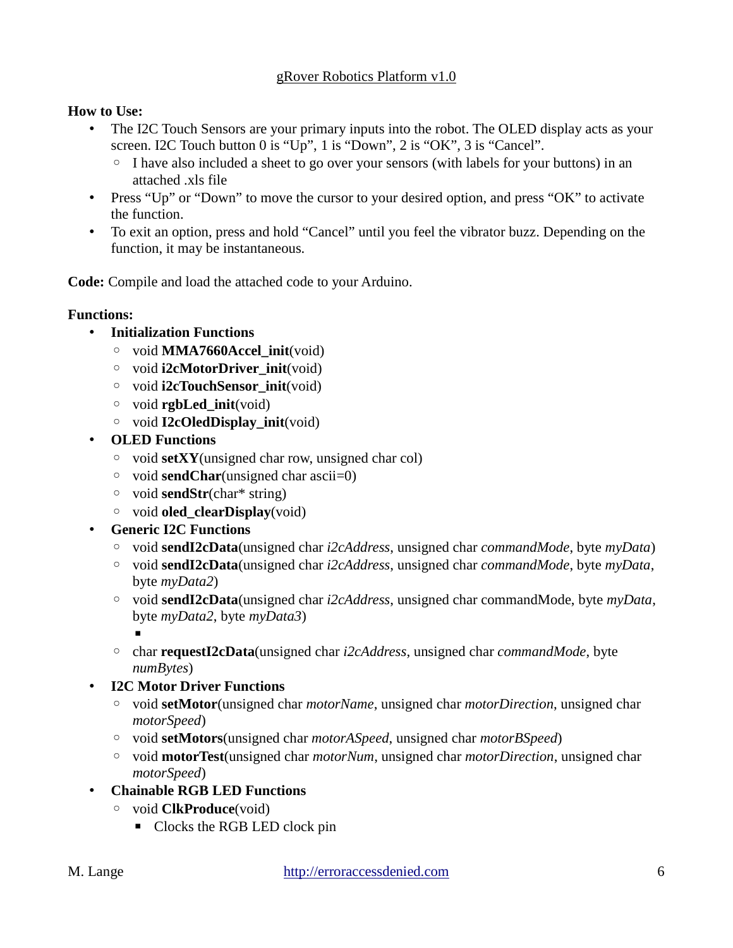## **How to Use:**

- The I2C Touch Sensors are your primary inputs into the robot. The OLED display acts as your screen. I2C Touch button 0 is " $Up$ ", 1 is "Down", 2 is "OK", 3 is "Cancel".
	- $\circ$  I have also included a sheet to go over your sensors (with labels for your buttons) in an attached .xls file
- Press "Up" or "Down" to move the cursor to your desired option, and press "OK" to activate the function.
- To exit an option, press and hold "Cancel" until you feel the vibrator buzz. Depending on the function, it may be instantaneous.

**Code:** Compile and load the attached code to your Arduino.

## **Functions:**

- **Initialization Functions**
	- void **MMA7660Accel\_init**(void)
	- void **i2cMotorDriver\_init**(void)
	- void **i2cTouchSensor\_init**(void)
	- void **rgbLed\_init**(void)
	- void **I2cOledDisplay\_init**(void)
- **OLED Functions**
	- void **setXY**(unsigned char row, unsigned char col)
	- void **sendChar**(unsigned char ascii=0)
	- void **sendStr**(char\* string)
	- void **oled\_clearDisplay**(void)
- **Generic I2C Functions**
	- void **sendI2cData**(unsigned char *i2cAddress*, unsigned char *commandMode*, byte *myData*)
	- void **sendI2cData**(unsigned char *i2cAddress*, unsigned char *commandMode*, byte *myData*, byte *myData2*)
	- void **sendI2cData**(unsigned char *i2cAddress*, unsigned char commandMode, byte *myData*, byte *myData2*, byte *myData3*)

-

- char **requestI2cData**(unsigned char *i2cAddress*, unsigned char *commandMode*, byte *numBytes*)
- **I2C Motor Driver Functions**
	- void **setMotor**(unsigned char *motorName*, unsigned char *motorDirection*, unsigned char *motorSpeed*)
	- void **setMotors**(unsigned char *motorASpeed*, unsigned char *motorBSpeed*)
	- void **motorTest**(unsigned char *motorNum*, unsigned char *motorDirection*, unsigned char *motorSpeed*)
- **Chainable RGB LED Functions**
	- void **ClkProduce**(void)
		- **-** Clocks the RGB LED clock pin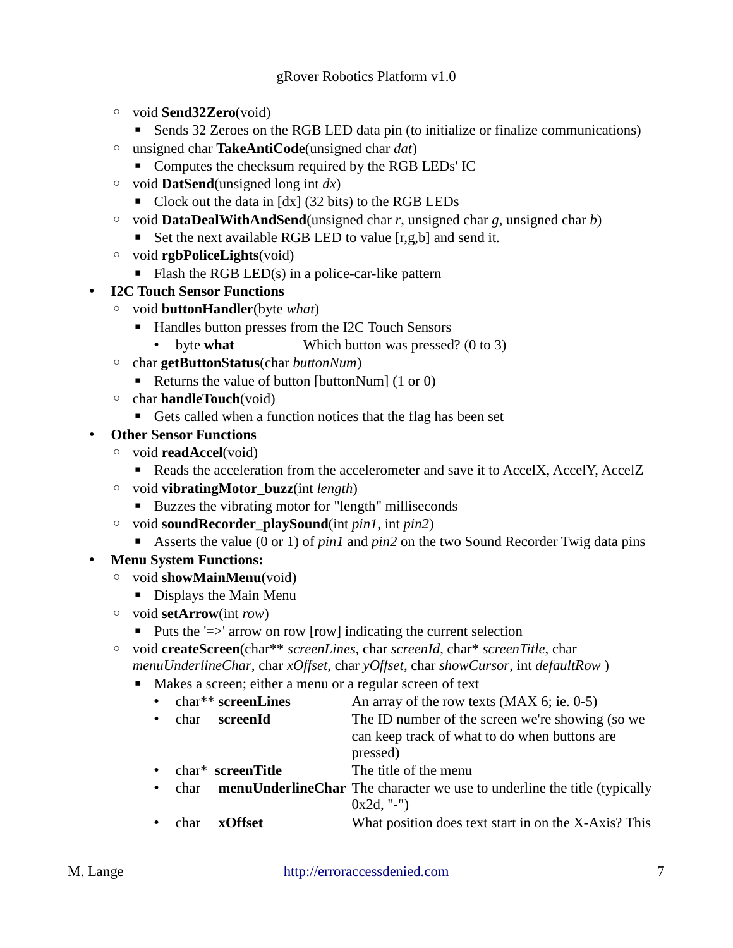- void **Send32Zero**(void)
	- **EXECTS** Sends 32 Zeroes on the RGB LED data pin (to initialize or finalize communications)
- unsigned char **TakeAntiCode**(unsigned char *dat*)
	- **•** Computes the checksum required by the RGB LEDs' IC
- void **DatSend**(unsigned long int *dx*)
	- Clock out the data in [dx] (32 bits) to the RGB LEDs
- void **DataDealWithAndSend**(unsigned char *r*, unsigned char *g*, unsigned char *b*)
	- Set the next available RGB LED to value [r,g,b] and send it.
- void **rgbPoliceLights**(void)
	- Flash the RGB LED(s) in a police-car-like pattern
- **I2C Touch Sensor Functions**
	- void **buttonHandler**(byte *what*)
		- Handles button presses from the I2C Touch Sensors
			- byte **what** Which button was pressed? (0 to 3)
	- char **getButtonStatus**(char *buttonNum*)
		- Returns the value of button [buttonNum] (1 or 0)
	- char **handleTouch**(void)
		- Gets called when a function notices that the flag has been set
- **Other Sensor Functions**
	- void **readAccel**(void)
		- Reads the acceleration from the accelerometer and save it to AccelX, AccelY, AccelZ
	- void **vibratingMotor\_buzz**(int *length*)
		- Buzzes the vibrating motor for "length" milliseconds
	- void **soundRecorder\_playSound**(int *pin1*, int *pin2*)
		- Asserts the value (0 or 1) of *pin1* and *pin2* on the two Sound Recorder Twig data pins
- **Menu System Functions:**
	- void **showMainMenu**(void)
		- **•** Displays the Main Menu
	- void **setArrow**(int *row*)
		- Puts the '=>' arrow on row [row] indicating the current selection
	- void **createScreen**(char\*\* *screenLines*, char *screenId*, char\* *screenTitle*, char *menuUnderlineChar*, char *xOffset*, char *yOffset*, char *showCursor*, int *defaultRow* )
		- **IDED** Makes a screen; either a menu or a regular screen of text
			- char\*\* **screenLines** An array of the row texts (MAX 6; ie. 0-5) char **screenId** The ID number of the screen we're showing (so we can keep track of what to do when buttons are pressed)
			- char\* **screenTitle** The title of the menu
			- char **menuUnderlineChar** The character we use to underline the title (typically 0x2d, "-")
				- char **xOffset** What position does text start in on the X-Axis? This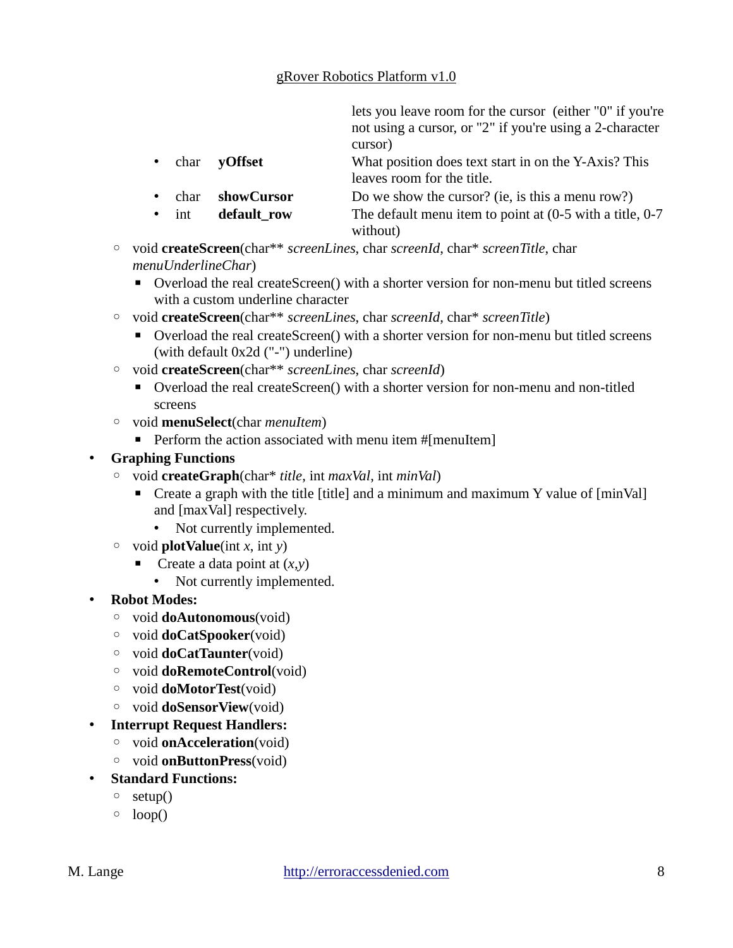lets you leave room for the cursor (either "0" if you're not using a cursor, or "2" if you're using a 2-character cursor)

- char **yOffset** What position does text start in on the Y-Axis? This leaves room for the title.
- char **showCursor** Do we show the cursor? (ie, is this a menu row?)
- int **default row** The default menu item to point at (0-5 with a title, 0-7 without)
- void **createScreen**(char\*\* *screenLines*, char *screenId*, char\* *screenTitle*, char *menuUnderlineChar*)
	- Overload the real createScreen() with a shorter version for non-menu but titled screens with a custom underline character
- void **createScreen**(char\*\* *screenLines*, char *screenId*, char\* *screenTitle*)
	- Overload the real createScreen() with a shorter version for non-menu but titled screens (with default 0x2d ("-") underline)
- void **createScreen**(char\*\* *screenLines*, char *screenId*)
	- Overload the real createScreen() with a shorter version for non-menu and non-titled screens
- void **menuSelect**(char *menuItem*)
	- **•** Perform the action associated with menu item #[menuItem]

### **Graphing Functions**

- void **createGraph**(char\* *title*, int *maxVal*, int *minVal*)
	- Create a graph with the title [title] and a minimum and maximum Y value of [minVal] and [maxVal] respectively.
		- Not currently implemented.
- $\circ$  void **plotValue**(int *x*, int *y*)
	- **-** Create a data point at  $(x,y)$ 
		- Not currently implemented.
- **Robot Modes:**
	- void **doAutonomous**(void)
	- void **doCatSpooker**(void)
	- void **doCatTaunter**(void)
	- void **doRemoteControl**(void)
	- void **doMotorTest**(void)
	- void **doSensorView**(void)
- **Interrupt Request Handlers:**
	- void **onAcceleration**(void)
	- void **onButtonPress**(void)
- **Standard Functions:**
	- $\circ$  setup()
	- $\circ$  loop()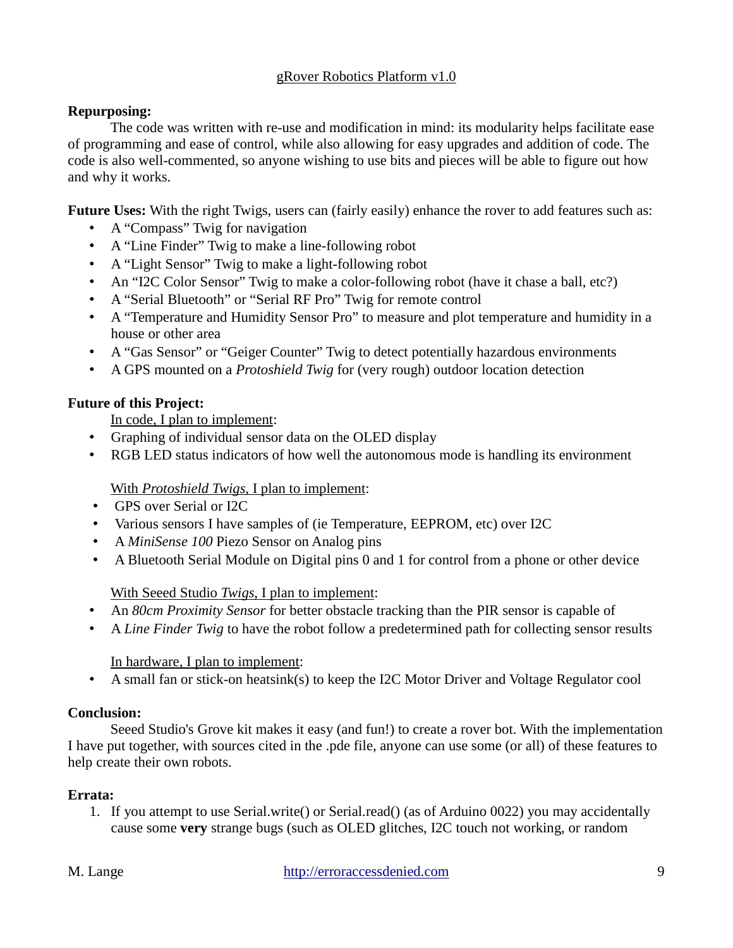## **Repurposing:**

The code was written with re-use and modification in mind: its modularity helps facilitate ease of programming and ease of control, while also allowing for easy upgrades and addition of code. The code is also well-commented, so anyone wishing to use bits and pieces will be able to figure out how and why it works.

**Future Uses:** With the right Twigs, users can (fairly easily) enhance the rover to add features such as:

- A "Compass" Twig for navigation
- $\bullet$  A "Line Finder" Twig to make a line-following robot
- A "Light Sensor" Twig to make a light-following robot
- An "I2C Color Sensor" Twig to make a color-following robot (have it chase a ball, etc?)
- A "Serial Bluetooth" or "Serial RF Pro" Twig for remote control
- A "Temperature and Humidity Sensor Pro" to measure and plot temperature and humidity in a house or other area
- A "Gas Sensor" or "Geiger Counter" Twig to detect potentially hazardous environments
- A GPS mounted on a *Protoshield Twig* for (very rough) outdoor location detection

# **Future of this Project:**

In code, I plan to implement:

- Graphing of individual sensor data on the OLED display
- RGB LED status indicators of how well the autonomous mode is handling its environment

# With *Protoshield Twigs* , I plan to implement:

- GPS over Serial or I2C
- Various sensors I have samples of (ie Temperature, EEPROM, etc) over I2C
- A *MiniSense 100* Piezo Sensor on Analog pins
- A Bluetooth Serial Module on Digital pins 0 and 1 for control from a phone or other device

# With Seeed Studio *Twigs* , I plan to implement:

- An *80cm Proximity Sensor* for better obstacle tracking than the PIR sensor is capable of
- A *Line Finder Twig* to have the robot follow a predetermined path for collecting sensor results

# In hardware, I plan to implement:

A small fan or stick-on heatsink(s) to keep the I2C Motor Driver and Voltage Regulator cool

# **Conclusion:**

Seeed Studio's Grove kit makes it easy (and fun!) to create a rover bot. With the implementation I have put together, with sources cited in the .pde file, anyone can use some (or all) of these features to help create their own robots.

# **Errata:**

1. If you attempt to use Serial.write() or Serial.read() (as of Arduino 0022) you may accidentally cause some **very** strange bugs (such as OLED glitches, I2C touch not working, or random